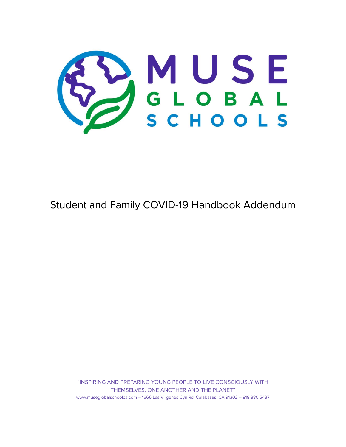

# Student and Family COVID-19 Handbook Addendum

"INSPIRING AND PREPARING YOUNG PEOPLE TO LIVE CONSCIOUSLY WITH THEMSELVES, ONE ANOTHER AND THE PLANET" www.museglobalschoolca.com – 1666 Las Virgenes Cyn Rd, Calabasas, CA 91302 – 818.880.5437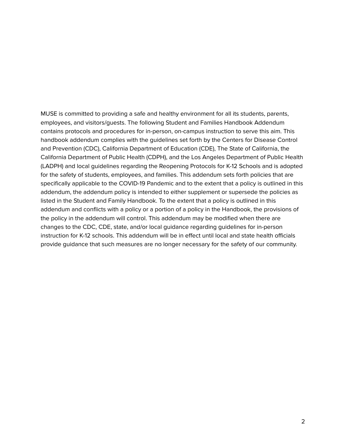MUSE is committed to providing a safe and healthy environment for all its students, parents, employees, and visitors/guests. The following Student and Families Handbook Addendum contains protocols and procedures for in-person, on-campus instruction to serve this aim. This handbook addendum complies with the guidelines set forth by the Centers for Disease Control and Prevention (CDC), California Department of Education (CDE), The State of California, the California Department of Public Health (CDPH), and the Los Angeles Department of Public Health (LADPH) and local guidelines regarding the Reopening Protocols for K-12 Schools and is adopted for the safety of students, employees, and families. This addendum sets forth policies that are specifically applicable to the COVID-19 Pandemic and to the extent that a policy is outlined in this addendum, the addendum policy is intended to either supplement or supersede the policies as listed in the Student and Family Handbook. To the extent that a policy is outlined in this addendum and conflicts with a policy or a portion of a policy in the Handbook, the provisions of the policy in the addendum will control. This addendum may be modified when there are changes to the CDC, CDE, state, and/or local guidance regarding guidelines for in-person instruction for K-12 schools. This addendum will be in effect until local and state health officials provide guidance that such measures are no longer necessary for the safety of our community.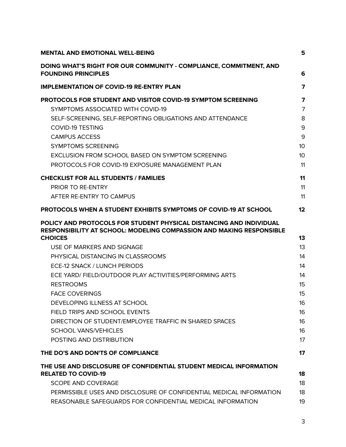| <b>MENTAL AND EMOTIONAL WELL-BEING</b>                                                                                                             | 5              |
|----------------------------------------------------------------------------------------------------------------------------------------------------|----------------|
| DOING WHAT'S RIGHT FOR OUR COMMUNITY - COMPLIANCE, COMMITMENT, AND<br><b>FOUNDING PRINCIPLES</b>                                                   | 6              |
| <b>IMPLEMENTATION OF COVID-19 RE-ENTRY PLAN</b>                                                                                                    | 7              |
| PROTOCOLS FOR STUDENT AND VISITOR COVID-19 SYMPTOM SCREENING                                                                                       | 7              |
| SYMPTOMS ASSOCIATED WITH COVID-19                                                                                                                  | $\overline{7}$ |
| SELF-SCREENING, SELF-REPORTING OBLIGATIONS AND ATTENDANCE                                                                                          | 8              |
| <b>COVID-19 TESTING</b>                                                                                                                            | 9              |
| <b>CAMPUS ACCESS</b>                                                                                                                               | 9              |
| <b>SYMPTOMS SCREENING</b>                                                                                                                          | 10             |
| EXCLUSION FROM SCHOOL BASED ON SYMPTOM SCREENING                                                                                                   | 10             |
| PROTOCOLS FOR COVID-19 EXPOSURE MANAGEMENT PLAN                                                                                                    | 11             |
| <b>CHECKLIST FOR ALL STUDENTS / FAMILIES</b>                                                                                                       | 11             |
| <b>PRIOR TO RE-ENTRY</b>                                                                                                                           | 11             |
| AFTER RE-ENTRY TO CAMPUS                                                                                                                           | 11             |
| <b>PROTOCOLS WHEN A STUDENT EXHIBITS SYMPTOMS OF COVID-19 AT SCHOOL</b>                                                                            | 12             |
| POLICY AND PROTOCOLS FOR STUDENT PHYSICAL DISTANCING AND INDIVIDUAL<br><b>RESPONSIBILITY AT SCHOOL: MODELING COMPASSION AND MAKING RESPONSIBLE</b> |                |
| <b>CHOICES</b>                                                                                                                                     | 13             |
| USE OF MARKERS AND SIGNAGE                                                                                                                         | 13             |
| PHYSICAL DISTANCING IN CLASSROOMS                                                                                                                  | 14             |
| ECE-12 SNACK / LUNCH PERIODS                                                                                                                       | 14             |
| ECE YARD/ FIELD/OUTDOOR PLAY ACTIVITIES/PERFORMING ARTS                                                                                            | 14             |
| <b>RESTROOMS</b>                                                                                                                                   | 15             |
| <b>FACE COVERINGS</b>                                                                                                                              | 15             |
| DEVELOPING ILLNESS AT SCHOOL                                                                                                                       | 16             |
| FIELD TRIPS AND SCHOOL EVENTS                                                                                                                      | 16             |
| DIRECTION OF STUDENT/EMPLOYEE TRAFFIC IN SHARED SPACES                                                                                             | 16             |
| <b>SCHOOL VANS/VEHICLES</b>                                                                                                                        | 16             |
| POSTING AND DISTRIBUTION                                                                                                                           | 17             |
| THE DO'S AND DON'TS OF COMPLIANCE                                                                                                                  | 17             |
| THE USE AND DISCLOSURE OF CONFIDENTIAL STUDENT MEDICAL INFORMATION                                                                                 |                |
| <b>RELATED TO COVID-19</b>                                                                                                                         | 18             |
| <b>SCOPE AND COVERAGE</b>                                                                                                                          | 18             |
| PERMISSIBLE USES AND DISCLOSURE OF CONFIDENTIAL MEDICAL INFORMATION<br>REASONABLE SAFEGUARDS FOR CONFIDENTIAL MEDICAL INFORMATION                  | 18<br>19       |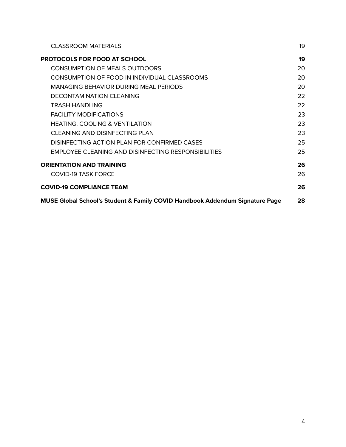| <b>CLASSROOM MATERIALS</b>                                                   | 19 |
|------------------------------------------------------------------------------|----|
| <b>PROTOCOLS FOR FOOD AT SCHOOL</b>                                          | 19 |
| <b>CONSUMPTION OF MEALS OUTDOORS</b>                                         | 20 |
| CONSUMPTION OF FOOD IN INDIVIDUAL CLASSROOMS                                 | 20 |
| <b>MANAGING BEHAVIOR DURING MEAL PERIODS</b>                                 | 20 |
| DECONTAMINATION CLEANING                                                     | 22 |
| TRASH HANDLING                                                               | 22 |
| <b>FACILITY MODIFICATIONS</b>                                                | 23 |
| <b>HEATING, COOLING &amp; VENTILATION</b>                                    | 23 |
| CLEANING AND DISINFECTING PLAN                                               | 23 |
| DISINFECTING ACTION PLAN FOR CONFIRMED CASES                                 | 25 |
| <b>EMPLOYEE CLEANING AND DISINFECTING RESPONSIBILITIES</b>                   | 25 |
| <b>ORIENTATION AND TRAINING</b>                                              | 26 |
| <b>COVID-19 TASK FORCE</b>                                                   | 26 |
| <b>COVID-19 COMPLIANCE TEAM</b>                                              | 26 |
| MUSE Global School's Student & Family COVID Handbook Addendum Signature Page | 28 |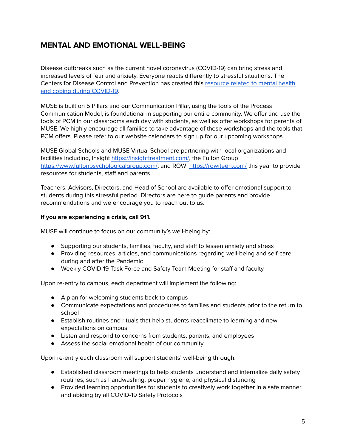# <span id="page-4-0"></span>**MENTAL AND EMOTIONAL WELL-BEING**

Disease outbreaks such as the current novel coronavirus (COVID-19) can bring stress and increased levels of fear and anxiety. Everyone reacts differently to stressful situations. The Centers for Disease Control and Prevention has created this [resource](https://www.cdc.gov/coronavirus/2019-ncov/daily-life-coping/managing-stress-anxiety.html?CDC_AA_refVal=https%3A%2F%2Fwww.cdc.gov%2Fcoronavirus%2F2019-ncov%2Fprepare%2Fmanaging-stress-anxiety.html) related to mental health and coping during [COVID-19](https://www.cdc.gov/coronavirus/2019-ncov/daily-life-coping/managing-stress-anxiety.html?CDC_AA_refVal=https%3A%2F%2Fwww.cdc.gov%2Fcoronavirus%2F2019-ncov%2Fprepare%2Fmanaging-stress-anxiety.html).

MUSE is built on 5 Pillars and our Communication Pillar, using the tools of the Process Communication Model, is foundational in supporting our entire community. We offer and use the tools of PCM in our classrooms each day with students, as well as offer workshops for parents of MUSE. We highly encourage all families to take advantage of these workshops and the tools that PCM offers. Please refer to our website calendars to sign up for our upcoming workshops.

MUSE Global Schools and MUSE Virtual School are partnering with local organizations and facilities including, Insight [https://insighttreatment.com/,](https://insighttreatment.com/) the Fulton Group [https://www.fultonpsychologicalgroup.com/,](https://www.fultonpsychologicalgroup.com/) and ROWI <https://rowiteen.com/> this year to provide resources for students, staff and parents.

Teachers, Advisors, Directors, and Head of School are available to offer emotional support to students during this stressful period. Directors are here to guide parents and provide recommendations and we encourage you to reach out to us.

#### **If you are experiencing a crisis, call 911.**

MUSE will continue to focus on our community's well-being by:

- Supporting our students, families, faculty, and staff to lessen anxiety and stress
- Providing resources, articles, and communications regarding well-being and self-care during and after the Pandemic
- Weekly COVID-19 Task Force and Safety Team Meeting for staff and faculty

Upon re-entry to campus, each department will implement the following:

- A plan for welcoming students back to campus
- Communicate expectations and procedures to families and students prior to the return to school
- Establish routines and rituals that help students reacclimate to learning and new expectations on campus
- Listen and respond to concerns from students, parents, and employees
- Assess the social emotional health of our community

Upon re-entry each classroom will support students' well-being through:

- Established classroom meetings to help students understand and internalize daily safety routines, such as handwashing, proper hygiene, and physical distancing
- Provided learning opportunities for students to creatively work together in a safe manner and abiding by all COVID-19 Safety Protocols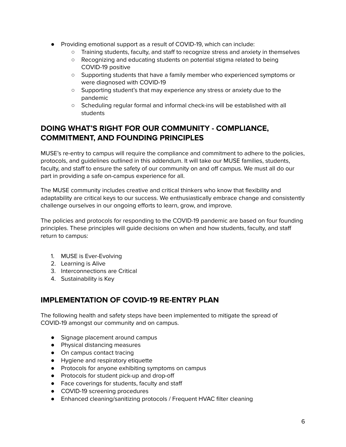- Providing emotional support as a result of COVID-19, which can include:
	- Training students, faculty, and staff to recognize stress and anxiety in themselves
	- Recognizing and educating students on potential stigma related to being COVID-19 positive
	- Supporting students that have a family member who experienced symptoms or were diagnosed with COVID-19
	- Supporting student's that may experience any stress or anxiety due to the pandemic
	- Scheduling regular formal and informal check-ins will be established with all students

# <span id="page-5-0"></span>**DOING WHAT'S RIGHT FOR OUR COMMUNITY - COMPLIANCE, COMMITMENT, AND FOUNDING PRINCIPLES**

MUSE's re-entry to campus will require the compliance and commitment to adhere to the policies, protocols, and guidelines outlined in this addendum. It will take our MUSE families, students, faculty, and staff to ensure the safety of our community on and off campus. We must all do our part in providing a safe on-campus experience for all.

The MUSE community includes creative and critical thinkers who know that flexibility and adaptability are critical keys to our success. We enthusiastically embrace change and consistently challenge ourselves in our ongoing efforts to learn, grow, and improve.

The policies and protocols for responding to the COVID-19 pandemic are based on four founding principles. These principles will guide decisions on when and how students, faculty, and staff return to campus:

- 1. MUSE is Ever-Evolving
- 2. Learning is Alive
- 3. Interconnections are Critical
- 4. Sustainability is Key

# <span id="page-5-1"></span>**IMPLEMENTATION OF COVID-19 RE-ENTRY PLAN**

The following health and safety steps have been implemented to mitigate the spread of COVID-19 amongst our community and on campus.

- Signage placement around campus
- Physical distancing measures
- On campus contact tracing
- Hygiene and respiratory etiquette
- Protocols for anyone exhibiting symptoms on campus
- Protocols for student pick-up and drop-off
- Face coverings for students, faculty and staff
- COVID-19 screening procedures
- Enhanced cleaning/sanitizing protocols / Frequent HVAC filter cleaning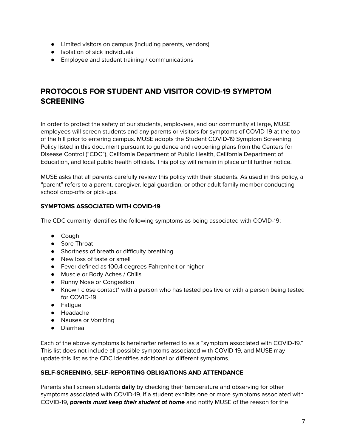- Limited visitors on campus (including parents, vendors)
- Isolation of sick individuals
- Employee and student training / communications

# <span id="page-6-0"></span>**PROTOCOLS FOR STUDENT AND VISITOR COVID-19 SYMPTOM SCREENING**

In order to protect the safety of our students, employees, and our community at large, MUSE employees will screen students and any parents or visitors for symptoms of COVID-19 at the top of the hill prior to entering campus. MUSE adopts the Student COVID-19 Symptom Screening Policy listed in this document pursuant to guidance and reopening plans from the Centers for Disease Control ("CDC"), California Department of Public Health, California Department of Education, and local public health officials. This policy will remain in place until further notice.

MUSE asks that all parents carefully review this policy with their students. As used in this policy, a "parent" refers to a parent, caregiver, legal guardian, or other adult family member conducting school drop-offs or pick-ups.

### <span id="page-6-1"></span>**SYMPTOMS ASSOCIATED WITH COVID-19**

The CDC currently identifies the following symptoms as being associated with COVID-19:

- Cough
- Sore Throat
- Shortness of breath or difficulty breathing
- New loss of taste or smell
- Fever defined as 100.4 degrees Fahrenheit or higher
- Muscle or Body Aches / Chills
- Runny Nose or Congestion
- Known close contact\* with a person who has tested positive or with a person being tested for COVID-19
- Fatigue
- Headache
- Nausea or Vomiting
- Diarrhea

Each of the above symptoms is hereinafter referred to as a "symptom associated with COVID-19." This list does not include all possible symptoms associated with COVID-19, and MUSE may update this list as the CDC identifies additional or different symptoms.

#### <span id="page-6-2"></span>**SELF-SCREENING, SELF-REPORTING OBLIGATIONS AND ATTENDANCE**

Parents shall screen students **daily** by checking their temperature and observing for other symptoms associated with COVID-19. If a student exhibits one or more symptoms associated with COVID-19, **parents must keep their student at home** and notify MUSE of the reason for the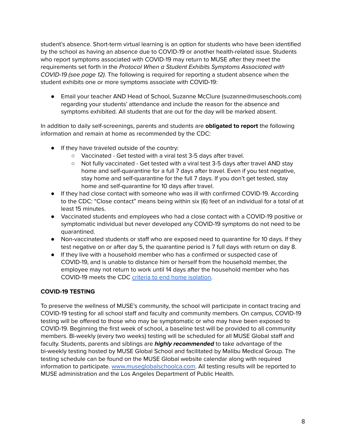student's absence. Short-term virtual learning is an option for students who have been identified by the school as having an absence due to COVID-19 or another health-related issue. Students who report symptoms associated with COVID-19 may return to MUSE after they meet the requirements set forth in the Protocol When a Student Exhibits Symptoms Associated with COVID-19 (see page 12). The following is required for reporting a student absence when the student exhibits one or more symptoms associate with COVID-19:

● Email your teacher AND Head of School, Suzanne McClure (suzanne@museschools.com) regarding your students' attendance and include the reason for the absence and symptoms exhibited. All students that are out for the day will be marked absent.

In addition to daily self-screenings, parents and students are **obligated to report** the following information and remain at home as recommended by the CDC:

- If they have traveled outside of the country:
	- Vaccinated Get tested with a viral test 3-5 days after travel.
	- Not fully vaccinated Get tested with a viral test 3-5 days after travel AND stay home and self-quarantine for a full 7 days after travel. Even if you test negative, stay home and self-quarantine for the full 7 days. If you don't get tested, stay home and self-quarantine for 10 days after travel.
- If they had close contact with someone who was ill with confirmed COVID-19. According to the CDC: "Close contact" means being within six (6) feet of an individual for a total of at least 15 minutes.
- Vaccinated students and employees who had a close contact with a COVID-19 positive or symptomatic individual but never developed any COVID-19 symptoms do not need to be quarantined.
- Non-vaccinated students or staff who are exposed need to quarantine for 10 days. If they test negative on or after day 5, the quarantine period is 7 full days with return on day 8.
- If they live with a household member who has a confirmed or suspected case of COVID-19, and is unable to distance him or herself from the household member, the employee may not return to work until 14 days after the household member who has COVID-19 meets the CDC criteria to end home [isolation.](https://www.cdc.gov/coronavirus/2019-ncov/if-you-are-sick/quarantine.html?CDC_AA_refVal=https%3A%2F%2Fwww.cdc.gov%2Fcoronavirus%2F2019-ncov%2Fif-you-are-sick%2Fend-home-isolation.html)

### <span id="page-7-0"></span>**COVID-19 TESTING**

To preserve the wellness of MUSE's community, the school will participate in contact tracing and COVID-19 testing for all school staff and faculty and community members. On campus, COVID-19 testing will be offered to those who may be symptomatic or who may have been exposed to COVID-19. Beginning the first week of school, a baseline test will be provided to all community members. Bi-weekly (every two weeks) testing will be scheduled for all MUSE Global staff and faculty. Students, parents and siblings are **highly recommended** to take advantage of the bi-weekly testing hosted by MUSE Global School and facilitated by Malibu Medical Group. The testing schedule can be found on the MUSE Global website calendar along with required information to participate. [www.museglobalschoolca.com.](http://www.museglobalschoolca.com) All testing results will be reported to MUSE administration and the Los Angeles Department of Public Health.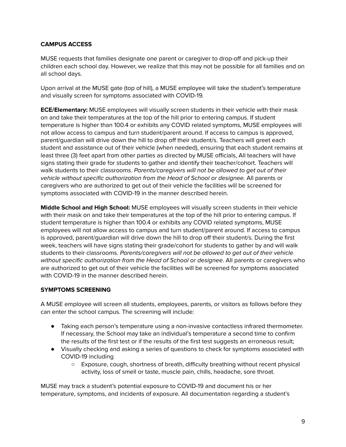#### <span id="page-8-0"></span>**CAMPUS ACCESS**

MUSE requests that families designate one parent or caregiver to drop-off and pick-up their children each school day. However, we realize that this may not be possible for all families and on all school days.

Upon arrival at the MUSE gate (top of hill), a MUSE employee will take the student's temperature and visually screen for symptoms associated with COVID-19.

**ECE/Elementary:** MUSE employees will visually screen students in their vehicle with their mask on and take their temperatures at the top of the hill prior to entering campus. If student temperature is higher than 100.4 or exhibits any COVID related symptoms, MUSE employees will not allow access to campus and turn student/parent around. If access to campus is approved, parent/guardian will drive down the hill to drop off their student/s. Teachers will greet each student and assistance out of their vehicle (when needed), ensuring that each student remains at least three (3) feet apart from other parties as directed by MUSE officials, All teachers will have signs stating their grade for students to gather and identify their teacher/cohort. Teachers will walk students to their classrooms. Parents/caregivers will not be allowed to get out of their vehicle without specific authorization from the Head of School or designee. All parents or caregivers who are authorized to get out of their vehicle the facilities will be screened for symptoms associated with COVID-19 in the manner described herein.

**Middle School and High School:** MUSE employees will visually screen students in their vehicle with their mask on and take their temperatures at the top of the hill prior to entering campus. If student temperature is higher than 100.4 or exhibits any COVID related symptoms, MUSE employees will not allow access to campus and turn student/parent around. If access to campus is approved, parent/guardian will drive down the hill to drop off their student/s. During the first week, teachers will have signs stating their grade/cohort for students to gather by and will walk students to their classrooms. Parents/caregivers will not be allowed to get out of their vehicle without specific authorization from the Head of School or designee. All parents or caregivers who are authorized to get out of their vehicle the facilities will be screened for symptoms associated with COVID-19 in the manner described herein.

#### <span id="page-8-1"></span>**SYMPTOMS SCREENING**

A MUSE employee will screen all students, employees, parents, or visitors as follows before they can enter the school campus. The screening will include:

- Taking each person's temperature using a non-invasive contactless infrared thermometer. If necessary, the School may take an individual's temperature a second time to confirm the results of the first test or if the results of the first test suggests an erroneous result;
- Visually checking and asking a series of questions to check for symptoms associated with COVID-19 including
	- Exposure, cough, shortness of breath, difficulty breathing without recent physical activity, loss of smell or taste, muscle pain, chills, headache, sore throat.

MUSE may track a student's potential exposure to COVID-19 and document his or her temperature, symptoms, and incidents of exposure. All documentation regarding a student's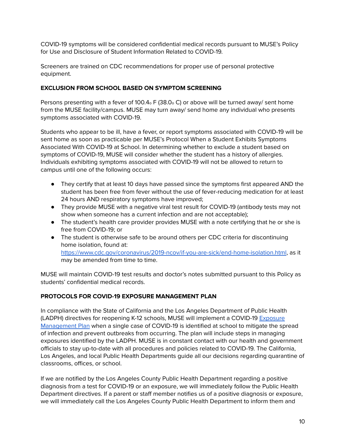COVID-19 symptoms will be considered confidential medical records pursuant to MUSE's Policy for Use and Disclosure of Student Information Related to COVID-19.

Screeners are trained on CDC recommendations for proper use of personal protective equipment.

#### <span id="page-9-0"></span>**EXCLUSION FROM SCHOOL BASED ON SYMPTOM SCREENING**

Persons presenting with a fever of 100.4<sub>o</sub> F (38.0<sub>o</sub> C) or above will be turned away/ sent home from the MUSE facility/campus. MUSE may turn away/ send home any individual who presents symptoms associated with COVID-19.

Students who appear to be ill, have a fever, or report symptoms associated with COVID-19 will be sent home as soon as practicable per MUSE's Protocol When a Student Exhibits Symptoms Associated With COVID-19 at School. In determining whether to exclude a student based on symptoms of COVID-19, MUSE will consider whether the student has a history of allergies. Individuals exhibiting symptoms associated with COVID-19 will not be allowed to return to campus until one of the following occurs:

- They certify that at least 10 days have passed since the symptoms first appeared AND the student has been free from fever without the use of fever-reducing medication for at least 24 hours AND respiratory symptoms have improved;
- They provide MUSE with a negative viral test result for COVID-19 (antibody tests may not show when someone has a current infection and are not acceptable);
- The student's health care provider provides MUSE with a note certifying that he or she is free from COVID-19; or
- The student is otherwise safe to be around others per CDC criteria for discontinuing home isolation, found at: <https://www.cdc.gov/coronavirus/2019-ncov/if-you-are-sick/end-home-isolation.html>, as it may be amended from time to time.

MUSE will maintain COVID-19 test results and doctor's notes submitted pursuant to this Policy as students' confidential medical records.

### <span id="page-9-1"></span>**PROTOCOLS FOR COVID-19 EXPOSURE MANAGEMENT PLAN**

In compliance with the State of California and the Los Angeles Department of Public Health (LADPH) directives for reopening K-12 schools, MUSE will implement a COVID-19 [Exposure](http://publichealth.lacounty.gov/media/Coronavirus/docs/protocols/ExposureManagementPlan_K12Schools.pdf) [Management](http://publichealth.lacounty.gov/media/Coronavirus/docs/protocols/ExposureManagementPlan_K12Schools.pdf) Plan when a single case of COVID-19 is identified at school to mitigate the spread of infection and prevent outbreaks from occurring. The plan will include steps in managing exposures identified by the LADPH. MUSE is in constant contact with our health and government officials to stay up-to-date with all procedures and policies related to COVID-19. The California, Los Angeles, and local Public Health Departments guide all our decisions regarding quarantine of classrooms, offices, or school.

If we are notified by the Los Angeles County Public Health Department regarding a positive diagnosis from a test for COVID-19 or an exposure, we will immediately follow the Public Health Department directives. If a parent or staff member notifies us of a positive diagnosis or exposure, we will immediately call the Los Angeles County Public Health Department to inform them and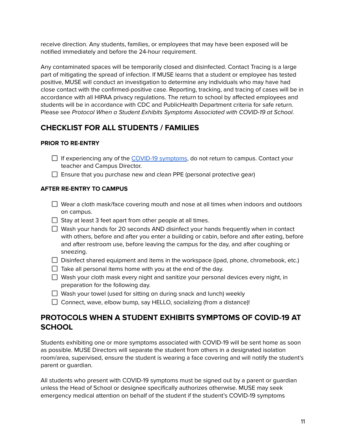receive direction. Any students, families, or employees that may have been exposed will be notified immediately and before the 24-hour requirement.

Any contaminated spaces will be temporarily closed and disinfected. Contact Tracing is a large part of mitigating the spread of infection. If MUSE learns that a student or employee has tested positive, MUSE will conduct an investigation to determine any individuals who may have had close contact with the confirmed-positive case. Reporting, tracking, and tracing of cases will be in accordance with all HIPAA privacy regulations. The return to school by affected employees and students will be in accordance with CDC and PublicHealth Department criteria for safe return. Please see Protocol When a Student Exhibits Symptoms Associated with COVID-19 at School.

# <span id="page-10-0"></span>**CHECKLIST FOR ALL STUDENTS / FAMILIES**

# <span id="page-10-1"></span>**PRIOR TO RE-ENTRY**

- $\Box$  If experiencing any of the COVID-19 [symptoms](https://www.cdc.gov/coronavirus/2019-ncov/symptoms-testing/symptoms.html), do not return to campus. Contact your teacher and Campus Director.
- $\Box$  Ensure that you purchase new and clean PPE (personal protective gear)

### <span id="page-10-2"></span>**AFTER RE-ENTRY TO CAMPUS**

- $\Box$  Wear a cloth mask/face covering mouth and nose at all times when indoors and outdoors on campus.
- $\Box$  Stay at least 3 feet apart from other people at all times.
- $\Box$  Wash your hands for 20 seconds AND disinfect your hands frequently when in contact with others, before and after you enter a building or cabin, before and after eating, before and after restroom use, before leaving the campus for the day, and after coughing or sneezing.
- $\Box$  Disinfect shared equipment and items in the workspace (ipad, phone, chromebook, etc.)
- $\Box$  Take all personal items home with you at the end of the day.
- $\Box$  Wash your cloth mask every night and sanitize your personal devices every night, in preparation for the following day.
- $\Box$  Wash your towel (used for sitting on during snack and lunch) weekly
- $\Box$  Connect, wave, elbow bump, say HELLO, socializing (from a distance)!

# <span id="page-10-3"></span>**PROTOCOLS WHEN A STUDENT EXHIBITS SYMPTOMS OF COVID-19 AT SCHOOL**

Students exhibiting one or more symptoms associated with COVID-19 will be sent home as soon as possible. MUSE Directors will separate the student from others in a designated isolation room/area, supervised, ensure the student is wearing a face covering and will notify the student's parent or guardian.

All students who present with COVID-19 symptoms must be signed out by a parent or guardian unless the Head of School or designee specifically authorizes otherwise. MUSE may seek emergency medical attention on behalf of the student if the student's COVID-19 symptoms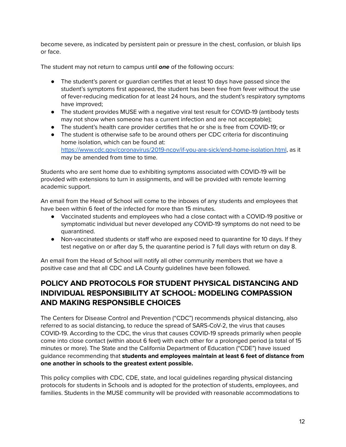become severe, as indicated by persistent pain or pressure in the chest, confusion, or bluish lips or face.

The student may not return to campus until **one** of the following occurs:

- The student's parent or guardian certifies that at least 10 days have passed since the student's symptoms first appeared, the student has been free from fever without the use of fever-reducing medication for at least 24 hours, and the student's respiratory symptoms have improved;
- The student provides MUSE with a negative viral test result for COVID-19 (antibody tests may not show when someone has a current infection and are not acceptable);
- The student's health care provider certifies that he or she is free from COVID-19; or
- The student is otherwise safe to be around others per CDC criteria for discontinuing home isolation, which can be found at: <https://www.cdc.gov/coronavirus/2019-ncov/if-you-are-sick/end-home-isolation.html>, as it may be amended from time to time.

Students who are sent home due to exhibiting symptoms associated with COVID-19 will be provided with extensions to turn in assignments, and will be provided with remote learning academic support.

An email from the Head of School will come to the inboxes of any students and employees that have been within 6 feet of the infected for more than 15 minutes.

- Vaccinated students and employees who had a close contact with a COVID-19 positive or symptomatic individual but never developed any COVID-19 symptoms do not need to be quarantined.
- Non-vaccinated students or staff who are exposed need to quarantine for 10 days. If they test negative on or after day 5, the quarantine period is 7 full days with return on day 8.

An email from the Head of School will notify all other community members that we have a positive case and that all CDC and LA County guidelines have been followed.

# **POLICY AND PROTOCOLS FOR STUDENT PHYSICAL DISTANCING AND INDIVIDUAL RESPONSIBILITY AT SCHOOL: MODELING COMPASSION AND MAKING RESPONSIBLE CHOICES**

<span id="page-11-0"></span>The Centers for Disease Control and Prevention ("CDC") recommends physical distancing, also referred to as social distancing, to reduce the spread of SARS-CoV-2, the virus that causes COVID-19. According to the CDC, the virus that causes COVID-19 spreads primarily when people come into close contact (within about 6 feet) with each other for a prolonged period (a total of 15 minutes or more). The State and the California Department of Education ("CDE") have issued guidance recommending that **students and employees maintain at least 6 feet of distance from one another in schools to the greatest extent possible.**

This policy complies with CDC, CDE, state, and local guidelines regarding physical distancing protocols for students in Schools and is adopted for the protection of students, employees, and families. Students in the MUSE community will be provided with reasonable accommodations to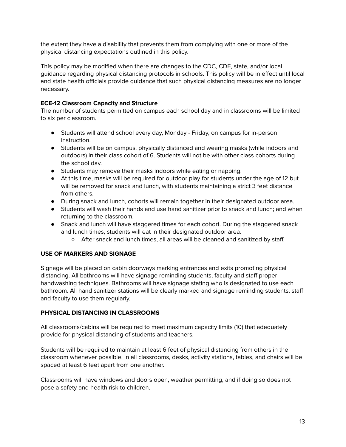the extent they have a disability that prevents them from complying with one or more of the physical distancing expectations outlined in this policy.

This policy may be modified when there are changes to the CDC, CDE, state, and/or local guidance regarding physical distancing protocols in schools. This policy will be in effect until local and state health officials provide guidance that such physical distancing measures are no longer necessary.

#### **ECE-12 Classroom Capacity and Structure**

The number of students permitted on campus each school day and in classrooms will be limited to six per classroom.

- Students will attend school every day, Monday Friday, on campus for in-person instruction.
- Students will be on campus, physically distanced and wearing masks (while indoors and outdoors) in their class cohort of 6. Students will not be with other class cohorts during the school day.
- Students may remove their masks indoors while eating or napping.
- At this time, masks will be required for outdoor play for students under the age of 12 but will be removed for snack and lunch, with students maintaining a strict 3 feet distance from others.
- During snack and lunch, cohorts will remain together in their designated outdoor area.
- Students will wash their hands and use hand sanitizer prior to snack and lunch; and when returning to the classroom.
- Snack and lunch will have staggered times for each cohort. During the staggered snack and lunch times, students will eat in their designated outdoor area.
	- After snack and lunch times, all areas will be cleaned and sanitized by staff.

#### <span id="page-12-0"></span>**USE OF MARKERS AND SIGNAGE**

Signage will be placed on cabin doorways marking entrances and exits promoting physical distancing. All bathrooms will have signage reminding students, faculty and staff proper handwashing techniques. Bathrooms will have signage stating who is designated to use each bathroom. All hand sanitizer stations will be clearly marked and signage reminding students, staff and faculty to use them regularly.

#### <span id="page-12-1"></span>**PHYSICAL DISTANCING IN CLASSROOMS**

All classrooms/cabins will be required to meet maximum capacity limits (10) that adequately provide for physical distancing of students and teachers.

Students will be required to maintain at least 6 feet of physical distancing from others in the classroom whenever possible. In all classrooms, desks, activity stations, tables, and chairs will be spaced at least 6 feet apart from one another.

Classrooms will have windows and doors open, weather permitting, and if doing so does not pose a safety and health risk to children.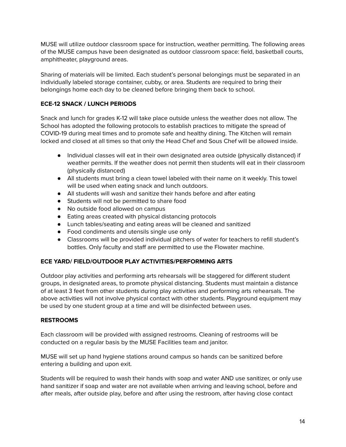MUSE will utilize outdoor classroom space for instruction, weather permitting. The following areas of the MUSE campus have been designated as outdoor classroom space: field, basketball courts, amphitheater, playground areas.

Sharing of materials will be limited. Each student's personal belongings must be separated in an individually labeled storage container, cubby, or area. Students are required to bring their belongings home each day to be cleaned before bringing them back to school.

### <span id="page-13-0"></span>**ECE-12 SNACK / LUNCH PERIODS**

Snack and lunch for grades K-12 will take place outside unless the weather does not allow. The School has adopted the following protocols to establish practices to mitigate the spread of COVID-19 during meal times and to promote safe and healthy dining. The Kitchen will remain locked and closed at all times so that only the Head Chef and Sous Chef will be allowed inside.

- Individual classes will eat in their own designated area outside (physically distanced) if weather permits. If the weather does not permit then students will eat in their classroom (physically distanced)
- All students must bring a clean towel labeled with their name on it weekly. This towel will be used when eating snack and lunch outdoors.
- All students will wash and sanitize their hands before and after eating
- Students will not be permitted to share food
- No outside food allowed on campus
- Eating areas created with physical distancing protocols
- Lunch tables/seating and eating areas will be cleaned and sanitized
- Food condiments and utensils single use only
- Classrooms will be provided individual pitchers of water for teachers to refill student's bottles. Only faculty and staff are permitted to use the Flowater machine.

### <span id="page-13-1"></span>**ECE YARD/ FIELD/OUTDOOR PLAY ACTIVITIES/PERFORMING ARTS**

Outdoor play activities and performing arts rehearsals will be staggered for different student groups, in designated areas, to promote physical distancing. Students must maintain a distance of at least 3 feet from other students during play activities and performing arts rehearsals. The above activities will not involve physical contact with other students. Playground equipment may be used by one student group at a time and will be disinfected between uses.

#### <span id="page-13-2"></span>**RESTROOMS**

Each classroom will be provided with assigned restrooms. Cleaning of restrooms will be conducted on a regular basis by the MUSE Facilities team and janitor.

MUSE will set up hand hygiene stations around campus so hands can be sanitized before entering a building and upon exit.

Students will be required to wash their hands with soap and water AND use sanitizer, or only use hand sanitizer if soap and water are not available when arriving and leaving school, before and after meals, after outside play, before and after using the restroom, after having close contact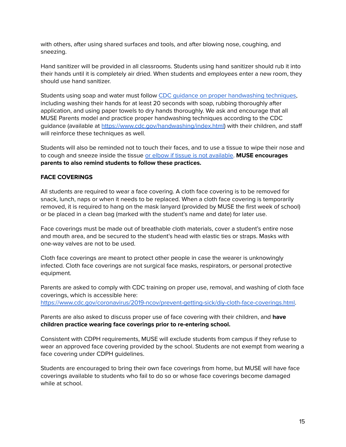with others, after using shared surfaces and tools, and after blowing nose, coughing, and sneezing.

Hand sanitizer will be provided in all classrooms. Students using hand sanitizer should rub it into their hands until it is completely air dried. When students and employees enter a new room, they should use hand sanitizer.

Students using soap and water must follow CDC guidance on proper [handwashing](https://www.youtube.com/watch?v=fpXh2XHwMmE) techniques, including washing their hands for at least 20 seconds with soap, rubbing thoroughly after application, and using paper towels to dry hands thoroughly. We ask and encourage that all MUSE Parents model and practice proper handwashing techniques according to the CDC guidance (available at [https://www.cdc.gov/handwashing/index.html\)](https://www.cdc.gov/handwashing/index.html) with their children, and staff will reinforce these techniques as well.

Students will also be reminded not to touch their faces, and to use a tissue to wipe their nose and to cough and sneeze inside the tissue or elbow if tissue is not [available.](https://www.cdc.gov/healthywater/hygiene/etiquette/coughing_sneezing.html) **MUSE encourages parents to also remind students to follow these practices.**

#### <span id="page-14-0"></span>**FACE COVERINGS**

All students are required to wear a face covering. A cloth face covering is to be removed for snack, lunch, naps or when it needs to be replaced. When a cloth face covering is temporarily removed, it is required to hang on the mask lanyard (provided by MUSE the first week of school) or be placed in a clean bag (marked with the student's name and date) for later use.

Face coverings must be made out of breathable cloth materials, cover a student's entire nose and mouth area, and be secured to the student's head with elastic ties or straps. Masks with one-way valves are not to be used.

Cloth face coverings are meant to protect other people in case the wearer is unknowingly infected. Cloth face coverings are not surgical face masks, respirators, or personal protective equipment.

Parents are asked to comply with CDC training on proper use, removal, and washing of cloth face coverings, which is accessible here: [https://www.cdc.gov/coronavirus/2019-ncov/prevent-getting-sick/diy-cloth-face-coverings.html](https://www.cdc.gov/coronavirus/2019-ncov/prevent-getting-sick/diy-cloth-face-coverings.html%E2%80%8B).

Parents are also asked to discuss proper use of face covering with their children, and **have children practice wearing face coverings prior to re-entering school.**

Consistent with CDPH requirements, MUSE will exclude students from campus if they refuse to wear an approved face covering provided by the school. Students are not exempt from wearing a face covering under CDPH guidelines.

Students are encouraged to bring their own face coverings from home, but MUSE will have face coverings available to students who fail to do so or whose face coverings become damaged while at school.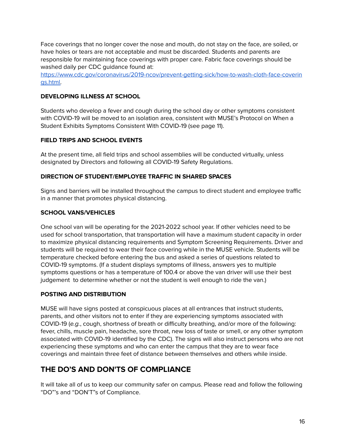Face coverings that no longer cover the nose and mouth, do not stay on the face, are soiled, or have holes or tears are not acceptable and must be discarded. Students and parents are responsible for maintaining face coverings with proper care. Fabric face coverings should be washed daily per CDC guidance found at:

[https://www.cdc.gov/coronavirus/2019-ncov/prevent-getting-sick/how-to-wash-cloth-face-coverin](https://www.cdc.gov/coronavirus/2019-ncov/prevent-getting-sick/how-to-wash-cloth-face-coverings.html) [gs.html.](https://www.cdc.gov/coronavirus/2019-ncov/prevent-getting-sick/how-to-wash-cloth-face-coverings.html)

#### <span id="page-15-0"></span>**DEVELOPING ILLNESS AT SCHOOL**

Students who develop a fever and cough during the school day or other symptoms consistent with COVID-19 will be moved to an isolation area, consistent with MUSE's Protocol on When a Student Exhibits Symptoms Consistent With COVID-19 (see page 11).

#### <span id="page-15-1"></span>**FIELD TRIPS AND SCHOOL EVENTS**

At the present time, all field trips and school assemblies will be conducted virtually, unless designated by Directors and following all COVID-19 Safety Regulations.

#### <span id="page-15-2"></span>**DIRECTION OF STUDENT/EMPLOYEE TRAFFIC IN SHARED SPACES**

Signs and barriers will be installed throughout the campus to direct student and employee traffic in a manner that promotes physical distancing.

### <span id="page-15-3"></span>**SCHOOL VANS/VEHICLES**

One school van will be operating for the 2021-2022 school year. If other vehicles need to be used for school transportation, that transportation will have a maximum student capacity in order to maximize physical distancing requirements and Symptom Screening Requirements. Driver and students will be required to wear their face covering while in the MUSE vehicle. Students will be temperature checked before entering the bus and asked a series of questions related to COVID-19 symptoms. (If a student displays symptoms of illness, answers yes to multiple symptoms questions or has a temperature of 100.4 or above the van driver will use their best judgement to determine whether or not the student is well enough to ride the van.)

#### <span id="page-15-4"></span>**POSTING AND DISTRIBUTION**

MUSE will have signs posted at conspicuous places at all entrances that instruct students, parents, and other visitors not to enter if they are experiencing symptoms associated with COVID-19 (e.g., cough, shortness of breath or difficulty breathing, and/or more of the following: fever, chills, muscle pain, headache, sore throat, new loss of taste or smell, or any other symptom associated with COVID-19 identified by the CDC). The signs will also instruct persons who are not experiencing these symptoms and who can enter the campus that they are to wear face coverings and maintain three feet of distance between themselves and others while inside.

# <span id="page-15-5"></span>**THE DO'S AND DON'TS OF COMPLIANCE**

It will take all of us to keep our community safer on campus. Please read and follow the following "DO"'s and "DON'T"s of Compliance.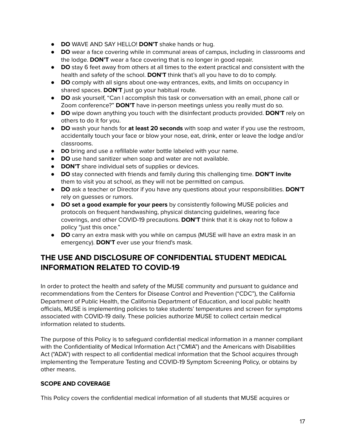- **DO** WAVE AND SAY HELLO! **DON'T** shake hands or hug.
- **DO** wear a face covering while in communal areas of campus, including in classrooms and the lodge. **DON'T** wear a face covering that is no longer in good repair.
- **DO** stay 6 feet away from others at all times to the extent practical and consistent with the health and safety of the school. **DON'T** think that's all you have to do to comply.
- **DO** comply with all signs about one-way entrances, exits, and limits on occupancy in shared spaces. **DON'T** just go your habitual route.
- **DO** ask yourself, "Can I accomplish this task or conversation with an email, phone call or Zoom conference?" **DON'T** have in-person meetings unless you really must do so.
- **DO** wipe down anything you touch with the disinfectant products provided. **DON'T** rely on others to do it for you.
- **DO** wash your hands for **at least 20 seconds** with soap and water if you use the restroom, accidentally touch your face or blow your nose, eat, drink, enter or leave the lodge and/or classrooms.
- **DO** bring and use a refillable water bottle labeled with your name.
- **DO** use hand sanitizer when soap and water are not available.
- **DON'T** share individual sets of supplies or devices.
- **DO** stay connected with friends and family during this challenging time. **DON'T invite** them to visit you at school, as they will not be permitted on campus.
- **DO** ask a teacher or Director if you have any questions about your responsibilities. **DON'T** rely on guesses or rumors.
- **DO set a good example for your peers** by consistently following MUSE policies and protocols on frequent handwashing, physical distancing guidelines, wearing face coverings, and other COVID-19 precautions. **DON'T** think that it is okay not to follow a policy "just this once."
- **DO** carry an extra mask with you while on campus (MUSE will have an extra mask in an emergency). **DON'T** ever use your friend's mask.

# **THE USE AND DISCLOSURE OF CONFIDENTIAL STUDENT MEDICAL INFORMATION RELATED TO COVID-19**

<span id="page-16-0"></span>In order to protect the health and safety of the MUSE community and pursuant to guidance and recommendations from the Centers for Disease Control and Prevention ("CDC"), the California Department of Public Health, the California Department of Education, and local public health officials, MUSE is implementing policies to take students' temperatures and screen for symptoms associated with COVID-19 daily. These policies authorize MUSE to collect certain medical information related to students.

The purpose of this Policy is to safeguard confidential medical information in a manner compliant with the Confidentiality of Medical Information Act ("CMIA") and the Americans with Disabilities Act ("ADA") with respect to all confidential medical information that the School acquires through implementing the Temperature Testing and COVID-19 Symptom Screening Policy, or obtains by other means.

#### <span id="page-16-2"></span><span id="page-16-1"></span>**SCOPE AND COVERAGE**

This Policy covers the confidential medical information of all students that MUSE acquires or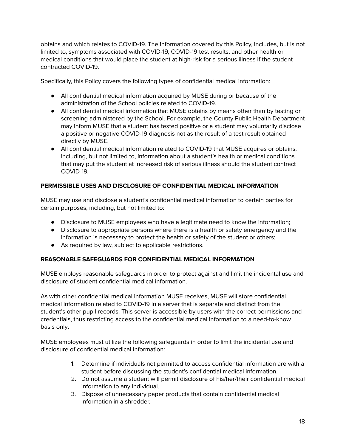obtains and which relates to COVID-19. The information covered by this Policy, includes, but is not limited to, symptoms associated with COVID-19, COVID-19 test results, and other health or medical conditions that would place the student at high-risk for a serious illness if the student contracted COVID-19.

Specifically, this Policy covers the following types of confidential medical information:

- All confidential medical information acquired by MUSE during or because of the administration of the School policies related to COVID-19.
- All confidential medical information that MUSE obtains by means other than by testing or screening administered by the School. For example, the County Public Health Department may inform MUSE that a student has tested positive or a student may voluntarily disclose a positive or negative COVID-19 diagnosis not as the result of a test result obtained directly by MUSE.
- All confidential medical information related to COVID-19 that MUSE acquires or obtains, including, but not limited to, information about a student's health or medical conditions that may put the student at increased risk of serious illness should the student contract COVID-19.

# <span id="page-17-0"></span>**PERMISSIBLE USES AND DISCLOSURE OF CONFIDENTIAL MEDICAL INFORMATION**

MUSE may use and disclose a student's confidential medical information to certain parties for certain purposes, including, but not limited to:

- Disclosure to MUSE employees who have a legitimate need to know the information;
- Disclosure to appropriate persons where there is a health or safety emergency and the information is necessary to protect the health or safety of the student or others;
- As required by law, subject to applicable restrictions.

### <span id="page-17-1"></span>**REASONABLE SAFEGUARDS FOR CONFIDENTIAL MEDICAL INFORMATION**

MUSE employs reasonable safeguards in order to protect against and limit the incidental use and disclosure of student confidential medical information.

As with other confidential medical information MUSE receives, MUSE will store confidential medical information related to COVID-19 in a server that is separate and distinct from the student's other pupil records. This server is accessible by users with the correct permissions and credentials, thus restricting access to the confidential medical information to a need-to-know basis only**.**

MUSE employees must utilize the following safeguards in order to limit the incidental use and disclosure of confidential medical information:

- 1. Determine if individuals not permitted to access confidential information are with a student before discussing the student's confidential medical information.
- 2. Do not assume a student will permit disclosure of his/her/their confidential medical information to any individual.
- 3. Dispose of unnecessary paper products that contain confidential medical information in a shredder.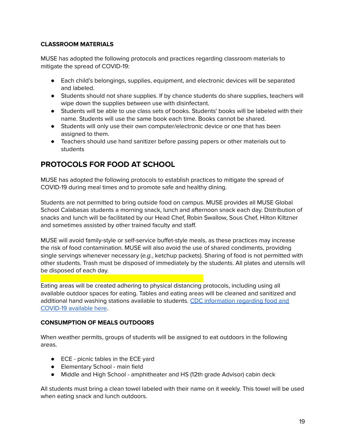#### <span id="page-18-0"></span>**CLASSROOM MATERIALS**

MUSE has adopted the following protocols and practices regarding classroom materials to mitigate the spread of COVID-19:

- Each child's belongings, supplies, equipment, and electronic devices will be separated and labeled.
- Students should not share supplies. If by chance students do share supplies, teachers will wipe down the supplies between use with disinfectant.
- Students will be able to use class sets of books. Students' books will be labeled with their name. Students will use the same book each time. Books cannot be shared.
- Students will only use their own computer/electronic device or one that has been assigned to them.
- Teachers should use hand sanitizer before passing papers or other materials out to students

# <span id="page-18-1"></span>**PROTOCOLS FOR FOOD AT SCHOOL**

MUSE has adopted the following protocols to establish practices to mitigate the spread of COVID-19 during meal times and to promote safe and healthy dining.

Students are not permitted to bring outside food on campus. MUSE provides all MUSE Global School Calabasas students a morning snack, lunch and afternoon snack each day. Distribution of snacks and lunch will be facilitated by our Head Chef, Robin Swallow, Sous Chef, Hilton Kiltzner and sometimes assisted by other trained faculty and staff.

MUSE will avoid family-style or self-service buffet-style meals, as these practices may increase the risk of food contamination. MUSE will also avoid the use of shared condiments, providing single servings whenever necessary (e.g., ketchup packets). Sharing of food is not permitted with other students. Trash must be disposed of immediately by the students. All plates and utensils will be disposed of each day.

Eating areas will be created adhering to physical distancing protocols, including using all available outdoor spaces for eating. Tables and eating areas will be cleaned and sanitized and additional hand washing stations available to students. CDC [information](https://www.cdc.gov/coronavirus/2019-ncov/daily-life-coping/food-and-COVID-19.html) regarding food and [COVID-19](https://www.cdc.gov/coronavirus/2019-ncov/daily-life-coping/food-and-COVID-19.html) available here.

#### <span id="page-18-2"></span>**CONSUMPTION OF MEALS OUTDOORS**

When weather permits, groups of students will be assigned to eat outdoors in the following areas.

- ECE picnic tables in the ECE yard
- Elementary School main field
- Middle and High School amphitheater and HS (12th grade Advisor) cabin deck

All students must bring a clean towel labeled with their name on it weekly. This towel will be used when eating snack and lunch outdoors.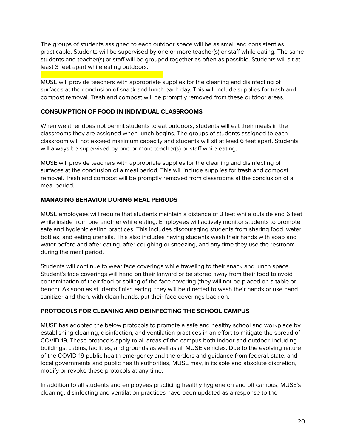The groups of students assigned to each outdoor space will be as small and consistent as practicable. Students will be supervised by one or more teacher(s) or staff while eating. The same students and teacher(s) or staff will be grouped together as often as possible. Students will sit at least 3 feet apart while eating outdoors.

MUSE will provide teachers with appropriate supplies for the cleaning and disinfecting of surfaces at the conclusion of snack and lunch each day. This will include supplies for trash and compost removal. Trash and compost will be promptly removed from these outdoor areas.

#### <span id="page-19-0"></span>**CONSUMPTION OF FOOD IN INDIVIDUAL CLASSROOMS**

When weather does not permit students to eat outdoors, students will eat their meals in the classrooms they are assigned when lunch begins. The groups of students assigned to each classroom will not exceed maximum capacity and students will sit at least 6 feet apart. Students will always be supervised by one or more teacher(s) or staff while eating.

MUSE will provide teachers with appropriate supplies for the cleaning and disinfecting of surfaces at the conclusion of a meal period. This will include supplies for trash and compost removal. Trash and compost will be promptly removed from classrooms at the conclusion of a meal period.

#### <span id="page-19-1"></span>**MANAGING BEHAVIOR DURING MEAL PERIODS**

MUSE employees will require that students maintain a distance of 3 feet while outside and 6 feet while inside from one another while eating. Employees will actively monitor students to promote safe and hygienic eating practices. This includes discouraging students from sharing food, water bottles, and eating utensils. This also includes having students wash their hands with soap and water before and after eating, after coughing or sneezing, and any time they use the restroom during the meal period.

Students will continue to wear face coverings while traveling to their snack and lunch space. Student's face coverings will hang on their lanyard or be stored away from their food to avoid contamination of their food or soiling of the face covering (they will not be placed on a table or bench). As soon as students finish eating, they will be directed to wash their hands or use hand sanitizer and then, with clean hands, put their face coverings back on.

#### **PROTOCOLS FOR CLEANING AND DISINFECTING THE SCHOOL CAMPUS**

MUSE has adopted the below protocols to promote a safe and healthy school and workplace by establishing cleaning, disinfection, and ventilation practices in an effort to mitigate the spread of COVID-19. These protocols apply to all areas of the campus both indoor and outdoor, including buildings, cabins, facilities, and grounds as well as all MUSE vehicles. Due to the evolving nature of the COVID-19 public health emergency and the orders and guidance from federal, state, and local governments and public health authorities, MUSE may, in its sole and absolute discretion, modify or revoke these protocols at any time.

In addition to all students and employees practicing healthy hygiene on and off campus, MUSE's cleaning, disinfecting and ventilation practices have been updated as a response to the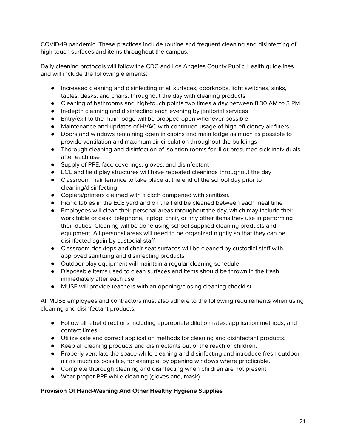COVID-19 pandemic. These practices include routine and frequent cleaning and disinfecting of high-touch surfaces and items throughout the campus.

Daily cleaning protocols will follow the CDC and Los Angeles County Public Health guidelines and will include the following elements:

- Increased cleaning and disinfecting of all surfaces, doorknobs, light switches, sinks, tables, desks, and chairs, throughout the day with cleaning products
- Cleaning of bathrooms and high-touch points two times a day between 8:30 AM to 3 PM
- In-depth cleaning and disinfecting each evening by janitorial services
- Entry/exit to the main lodge will be propped open whenever possible
- Maintenance and updates of HVAC with continued usage of high-efficiency air filters
- Doors and windows remaining open in cabins and main lodge as much as possible to provide ventilation and maximum air circulation throughout the buildings
- Thorough cleaning and disinfection of isolation rooms for ill or presumed sick individuals after each use
- Supply of PPE, face coverings, gloves, and disinfectant
- ECE and field play structures will have repeated cleanings throughout the day
- Classroom maintenance to take place at the end of the school day prior to cleaning/disinfecting
- Copiers/printers cleaned with a cloth dampened with sanitizer.
- Picnic tables in the ECE yard and on the field be cleaned between each meal time
- Employees will clean their personal areas throughout the day, which may include their work table or desk, telephone, laptop, chair, or any other items they use in performing their duties. Cleaning will be done using school-supplied cleaning products and equipment. All personal areas will need to be organized nightly so that they can be disinfected again by custodial staff
- Classroom desktops and chair seat surfaces will be cleaned by custodial staff with approved sanitizing and disinfecting products
- Outdoor play equipment will maintain a regular cleaning schedule
- Disposable items used to clean surfaces and items should be thrown in the trash immediately after each use
- MUSE will provide teachers with an opening/closing cleaning checklist

All MUSE employees and contractors must also adhere to the following requirements when using cleaning and disinfectant products:

- Follow all label directions including appropriate dilution rates, application methods, and contact times.
- Utilize safe and correct application methods for cleaning and disinfectant products.
- Keep all cleaning products and disinfectants out of the reach of children.
- Properly ventilate the space while cleaning and disinfecting and introduce fresh outdoor air as much as possible, for example, by opening windows where practicable.
- Complete thorough cleaning and disinfecting when children are not present
- Wear proper PPE while cleaning (gloves and, mask)

#### **Provision Of Hand-Washing And Other Healthy Hygiene Supplies**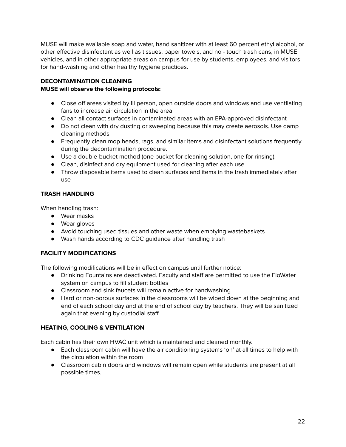MUSE will make available soap and water, hand sanitizer with at least 60 percent ethyl alcohol, or other effective disinfectant as well as tissues, paper towels, and no - touch trash cans, in MUSE vehicles, and in other appropriate areas on campus for use by students, employees, and visitors for hand-washing and other healthy hygiene practices.

### **DECONTAMINATION CLEANING**

#### <span id="page-21-0"></span>**MUSE will observe the following protocols:**

- Close off areas visited by ill person, open outside doors and windows and use ventilating fans to increase air circulation in the area
- Clean all contact surfaces in contaminated areas with an EPA-approved disinfectant
- Do not clean with dry dusting or sweeping because this may create aerosols. Use damp cleaning methods
- Frequently clean mop heads, rags, and similar items and disinfectant solutions frequently during the decontamination procedure.
- Use a double-bucket method (one bucket for cleaning solution, one for rinsing).
- Clean, disinfect and dry equipment used for cleaning after each use
- Throw disposable items used to clean surfaces and items in the trash immediately after use

# <span id="page-21-1"></span>**TRASH HANDLING**

When handling trash:

- Wear masks
- Wear gloves
- Avoid touching used tissues and other waste when emptying wastebaskets
- Wash hands according to CDC guidance after handling trash

### <span id="page-21-2"></span>**FACILITY MODIFICATIONS**

The following modifications will be in effect on campus until further notice:

- Drinking Fountains are deactivated. Faculty and staff are permitted to use the FloWater system on campus to fill student bottles
- Classroom and sink faucets will remain active for handwashing
- Hard or non-porous surfaces in the classrooms will be wiped down at the beginning and end of each school day and at the end of school day by teachers. They will be sanitized again that evening by custodial staff.

### <span id="page-21-3"></span>**HEATING, COOLING & VENTILATION**

Each cabin has their own HVAC unit which is maintained and cleaned monthly.

- Each classroom cabin will have the air conditioning systems 'on' at all times to help with the circulation within the room
- Classroom cabin doors and windows will remain open while students are present at all possible times.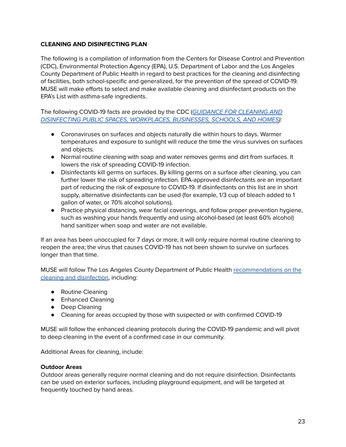#### <span id="page-22-0"></span>**CLEANING AND DISINFECTING PLAN**

The following is a compilation of information from the Centers for Disease Control and Prevention (CDC), Environmental Protection Agency (EPA), U.S. Department of Labor and the Los Angeles County Department of Public Health in regard to best practices for the cleaning and disinfecting of facilities, both school-specific and generalized, for the prevention of the spread of COVID-19. MUSE will make efforts to select and make available cleaning and disinfectant products on the EPA's List with asthma-safe ingredients.

#### The following COVID-19 facts are provided by the CDC ([GUIDANCE](https://www.cdc.gov/coronavirus/2019-ncov/community/pdf/REopening_America_Guidance.pdf) FOR CLEANING AND DISINFECTING PUBLIC SPACES, [WORKPLACES,](https://www.cdc.gov/coronavirus/2019-ncov/community/pdf/REopening_America_Guidance.pdf) BUSINESSES, SCHOOLS, AND HOMES):

- Coronaviruses on surfaces and objects naturally die within hours to days. Warmer temperatures and exposure to sunlight will reduce the time the virus survives on surfaces and objects.
- Normal routine cleaning with soap and water removes germs and dirt from surfaces. It lowers the risk of spreading COVID-19 infection.
- Disinfectants kill germs on surfaces. By killing germs on a surface after cleaning, you can further lower the risk of spreading infection. EPA-approved disinfectants are an important part of reducing the risk of exposure to COVID-19. If disinfectants on this list are in short supply, alternative disinfectants can be used (for example, 1/3 cup of bleach added to 1 gallon of water, or 70% alcohol solutions).
- Practice physical distancing, wear facial coverings, and follow proper prevention hygiene, such as washing your hands frequently and using alcohol-based (at least 60% alcohol) hand sanitizer when soap and water are not available.

If an area has been unoccupied for 7 days or more, it will only require normal routine cleaning to reopen the area; the virus that causes COVID-19 has not been shown to survive on surfaces longer than that time.

MUSE will follow The Los Angeles County Department of Public Health [recommendations](http://publichealth.lacounty.gov/media/Coronavirus/docs/protection/CleaningMatrix.pdf) on the cleaning and [disinfection,](http://publichealth.lacounty.gov/media/Coronavirus/docs/protection/CleaningMatrix.pdf) including:

- Routine Cleaning
- Enhanced Cleaning
- Deep Cleaning
- Cleaning for areas occupied by those with suspected or with confirmed COVID-19

MUSE will follow the enhanced cleaning protocols during the COVID-19 pandemic and will pivot to deep cleaning in the event of a confirmed case in our community.

Additional Areas for cleaning, include:

#### **Outdoor Areas**

Outdoor areas generally require normal cleaning and do not require disinfection. Disinfectants can be used on exterior surfaces, including playground equipment, and will be targeted at frequently touched by hand areas.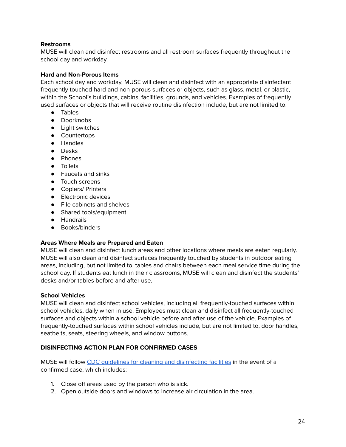#### **Restrooms**

MUSE will clean and disinfect restrooms and all restroom surfaces frequently throughout the school day and workday.

#### **Hard and Non-Porous Items**

Each school day and workday, MUSE will clean and disinfect with an appropriate disinfectant frequently touched hard and non-porous surfaces or objects, such as glass, metal, or plastic, within the School's buildings, cabins, facilities, grounds, and vehicles. Examples of frequently used surfaces or objects that will receive routine disinfection include, but are not limited to:

- Tables
- Doorknobs
- Light switches
- Countertops
- Handles
- Desks
- Phones
- Toilets
- Faucets and sinks
- Touch screens
- Copiers/ Printers
- Electronic devices
- File cabinets and shelves
- Shared tools/equipment
- Handrails
- Books/binders

#### **Areas Where Meals are Prepared and Eaten**

MUSE will clean and disinfect lunch areas and other locations where meals are eaten regularly. MUSE will also clean and disinfect surfaces frequently touched by students in outdoor eating areas, including, but not limited to, tables and chairs between each meal service time during the school day. If students eat lunch in their classrooms, MUSE will clean and disinfect the students' desks and/or tables before and after use.

#### **School Vehicles**

MUSE will clean and disinfect school vehicles, including all frequently-touched surfaces within school vehicles, daily when in use. Employees must clean and disinfect all frequently-touched surfaces and objects within a school vehicle before and after use of the vehicle. Examples of frequently-touched surfaces within school vehicles include, but are not limited to, door handles, seatbelts, seats, steering wheels, and window buttons.

#### <span id="page-23-0"></span>**DISINFECTING ACTION PLAN FOR CONFIRMED CASES**

MUSE will follow CDC guidelines for cleaning and [disinfecting](https://www.cdc.gov/coronavirus/2019-ncov/community/disinfecting-building-facility.html) facilities in the event of a confirmed case, which includes:

- 1. Close off areas used by the person who is sick.
- 2. Open outside doors and windows to increase air circulation in the area.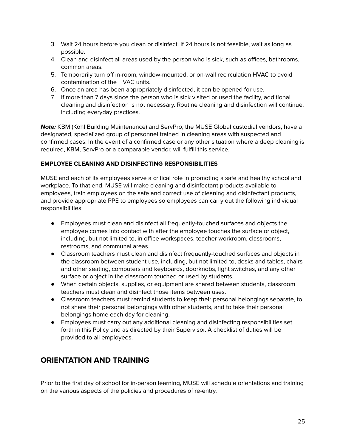- 3. Wait 24 hours before you clean or disinfect. If 24 hours is not feasible, wait as long as possible.
- 4. Clean and disinfect all areas used by the person who is sick, such as offices, bathrooms, common areas.
- 5. Temporarily turn off in-room, window-mounted, or on-wall recirculation HVAC to avoid contamination of the HVAC units.
- 6. Once an area has been appropriately disinfected, it can be opened for use.
- 7. If more than 7 days since the person who is sick visited or used the facility, additional cleaning and disinfection is not necessary. Routine cleaning and disinfection will continue, including everyday practices.

**Note:** KBM (Kohl Building Maintenance) and ServPro, the MUSE Global custodial vendors, have a designated, specialized group of personnel trained in cleaning areas with suspected and confirmed cases. In the event of a confirmed case or any other situation where a deep cleaning is required, KBM, ServPro or a comparable vendor, will fulfill this service.

### <span id="page-24-0"></span>**EMPLOYEE CLEANING AND DISINFECTING RESPONSIBILITIES**

MUSE and each of its employees serve a critical role in promoting a safe and healthy school and workplace. To that end, MUSE will make cleaning and disinfectant products available to employees, train employees on the safe and correct use of cleaning and disinfectant products, and provide appropriate PPE to employees so employees can carry out the following individual responsibilities:

- Employees must clean and disinfect all frequently-touched surfaces and objects the employee comes into contact with after the employee touches the surface or object, including, but not limited to, in office workspaces, teacher workroom, classrooms, restrooms, and communal areas.
- Classroom teachers must clean and disinfect frequently-touched surfaces and objects in the classroom between student use, including, but not limited to, desks and tables, chairs and other seating, computers and keyboards, doorknobs, light switches, and any other surface or object in the classroom touched or used by students.
- When certain objects, supplies, or equipment are shared between students, classroom teachers must clean and disinfect those items between uses.
- Classroom teachers must remind students to keep their personal belongings separate, to not share their personal belongings with other students, and to take their personal belongings home each day for cleaning.
- Employees must carry out any additional cleaning and disinfecting responsibilities set forth in this Policy and as directed by their Supervisor. A checklist of duties will be provided to all employees.

# <span id="page-24-1"></span>**ORIENTATION AND TRAINING**

Prior to the first day of school for in-person learning, MUSE will schedule orientations and training on the various aspects of the policies and procedures of re-entry.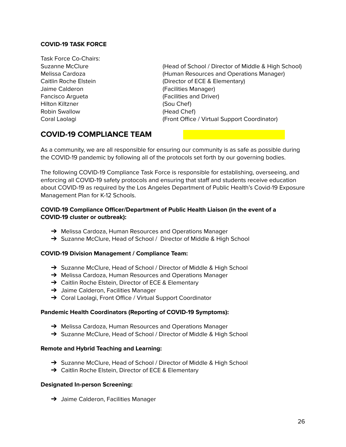#### <span id="page-25-0"></span>**COVID-19 TASK FORCE**

Task Force Co-Chairs: Jaime Calderon (Facilities Manager) Fancisco Argueta (Facilities and Driver) Hilton Kiltzner (Sou Chef) Robin Swallow (Head Chef)

Suzanne McClure (Head of School / Director of Middle & High School) Melissa Cardoza (Human Resources and Operations Manager) Caitlin Roche Elstein (Director of ECE & Elementary) Coral Laolagi (Front Office / Virtual Support Coordinator)

# <span id="page-25-1"></span>**COVID-19 COMPLIANCE TEAM**

As a community, we are all responsible for ensuring our community is as safe as possible during the COVID-19 pandemic by following all of the protocols set forth by our governing bodies.

The following COVID-19 Compliance Task Force is responsible for establishing, overseeing, and enforcing all COVID-19 safety protocols and ensuring that staff and students receive education about COVID-19 as required by the Los Angeles Department of Public Health's Covid-19 Exposure Management Plan for K-12 Schools.

#### **COVID-19 Compliance Officer/Department of Public Health Liaison (in the event of a COVID-19 cluster or outbreak):**

- → Melissa Cardoza, Human Resources and Operations Manager
- → Suzanne McClure, Head of School / Director of Middle & High School

#### **COVID-19 Division Management / Compliance Team:**

- → Suzanne McClure, Head of School / Director of Middle & High School
- **→** Melissa Cardoza, Human Resources and Operations Manager
- **→** Caitlin Roche Elstein, Director of ECE & Elementary
- **→** Jaime Calderon, Facilities Manager
- → Coral Laolagi, Front Office / Virtual Support Coordinator

#### **Pandemic Health Coordinators (Reporting of COVID-19 Symptoms):**

- → Melissa Cardoza, Human Resources and Operations Manager
- → Suzanne McClure, Head of School / Director of Middle & High School

#### **Remote and Hybrid Teaching and Learning:**

- → Suzanne McClure, Head of School / Director of Middle & High School
- → Caitlin Roche Elstein, Director of ECE & Elementary

#### **Designated In-person Screening:**

**→** Jaime Calderon, Facilities Manager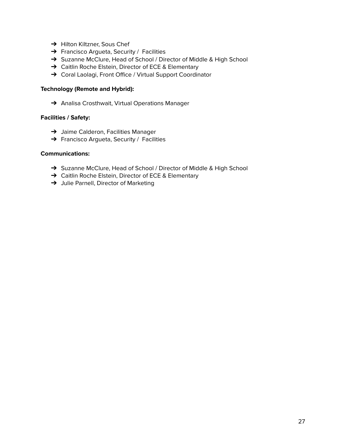- **→** Hilton Kiltzner, Sous Chef
- → Francisco Argueta, Security / Facilities
- → Suzanne McClure, Head of School / Director of Middle & High School
- → Caitlin Roche Elstein, Director of ECE & Elementary
- → Coral Laolagi, Front Office / Virtual Support Coordinator

#### **Technology (Remote and Hybrid):**

→ Analisa Crosthwait, Virtual Operations Manager

#### **Facilities / Safety:**

- **→** Jaime Calderon, Facilities Manager
- → Francisco Argueta, Security / Facilities

#### **Communications:**

- → Suzanne McClure, Head of School / Director of Middle & High School
- → Caitlin Roche Elstein, Director of ECE & Elementary
- → Julie Parnell, Director of Marketing